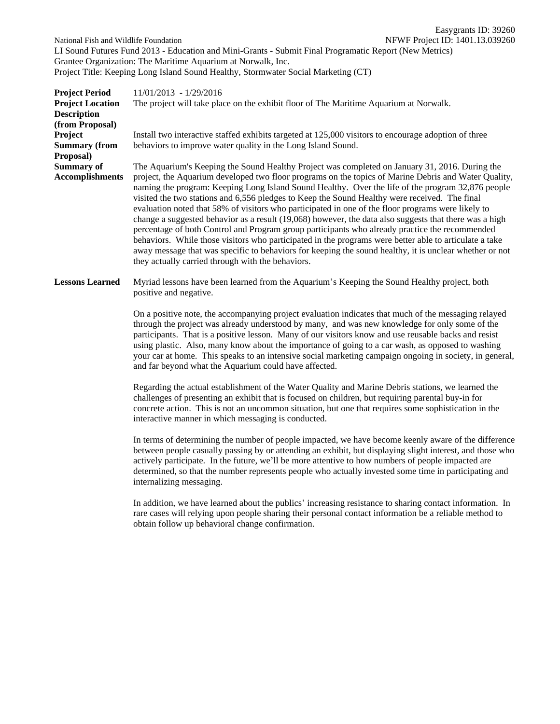Easygrants ID: 39260 National Fish and Wildlife Foundation NEWF Project ID: 1401.13.039260 LI Sound Futures Fund 2013 - Education and Mini-Grants - Submit Final Programatic Report (New Metrics) Grantee Organization: The Maritime Aquarium at Norwalk, Inc. Project Title: Keeping Long Island Sound Healthy, Stormwater Social Marketing (CT)

| <b>Project Period</b><br><b>Project Location</b><br><b>Description</b><br>(from Proposal) | $11/01/2013 - 1/29/2016$<br>The project will take place on the exhibit floor of The Maritime Aquarium at Norwalk.                                                                                                                                                                                                                                                                                                                                                                                                                                                                                                                                                                                                                                                                                                                                                                                                                                                                                        |
|-------------------------------------------------------------------------------------------|----------------------------------------------------------------------------------------------------------------------------------------------------------------------------------------------------------------------------------------------------------------------------------------------------------------------------------------------------------------------------------------------------------------------------------------------------------------------------------------------------------------------------------------------------------------------------------------------------------------------------------------------------------------------------------------------------------------------------------------------------------------------------------------------------------------------------------------------------------------------------------------------------------------------------------------------------------------------------------------------------------|
| Project                                                                                   | Install two interactive staffed exhibits targeted at 125,000 visitors to encourage adoption of three                                                                                                                                                                                                                                                                                                                                                                                                                                                                                                                                                                                                                                                                                                                                                                                                                                                                                                     |
| <b>Summary (from</b><br>Proposal)                                                         | behaviors to improve water quality in the Long Island Sound.                                                                                                                                                                                                                                                                                                                                                                                                                                                                                                                                                                                                                                                                                                                                                                                                                                                                                                                                             |
| <b>Summary of</b><br><b>Accomplishments</b>                                               | The Aquarium's Keeping the Sound Healthy Project was completed on January 31, 2016. During the<br>project, the Aquarium developed two floor programs on the topics of Marine Debris and Water Quality,<br>naming the program: Keeping Long Island Sound Healthy. Over the life of the program 32,876 people<br>visited the two stations and 6,556 pledges to Keep the Sound Healthy were received. The final<br>evaluation noted that 58% of visitors who participated in one of the floor programs were likely to<br>change a suggested behavior as a result (19,068) however, the data also suggests that there was a high<br>percentage of both Control and Program group participants who already practice the recommended<br>behaviors. While those visitors who participated in the programs were better able to articulate a take<br>away message that was specific to behaviors for keeping the sound healthy, it is unclear whether or not<br>they actually carried through with the behaviors. |
| <b>Lessons Learned</b>                                                                    | Myriad lessons have been learned from the Aquarium's Keeping the Sound Healthy project, both<br>positive and negative.                                                                                                                                                                                                                                                                                                                                                                                                                                                                                                                                                                                                                                                                                                                                                                                                                                                                                   |
|                                                                                           | On a positive note, the accompanying project evaluation indicates that much of the messaging relayed<br>through the project was already understood by many, and was new knowledge for only some of the<br>participants. That is a positive lesson. Many of our visitors know and use reusable backs and resist<br>using plastic. Also, many know about the importance of going to a car wash, as opposed to washing<br>your car at home. This speaks to an intensive social marketing campaign ongoing in society, in general,                                                                                                                                                                                                                                                                                                                                                                                                                                                                           |

and far beyond what the Aquarium could have affected.

Regarding the actual establishment of the Water Quality and Marine Debris stations, we learned the challenges of presenting an exhibit that is focused on children, but requiring parental buy-in for concrete action. This is not an uncommon situation, but one that requires some sophistication in the interactive manner in which messaging is conducted.

In terms of determining the number of people impacted, we have become keenly aware of the difference between people casually passing by or attending an exhibit, but displaying slight interest, and those who actively participate. In the future, we'll be more attentive to how numbers of people impacted are determined, so that the number represents people who actually invested some time in participating and internalizing messaging.

In addition, we have learned about the publics' increasing resistance to sharing contact information. In rare cases will relying upon people sharing their personal contact information be a reliable method to obtain follow up behavioral change confirmation.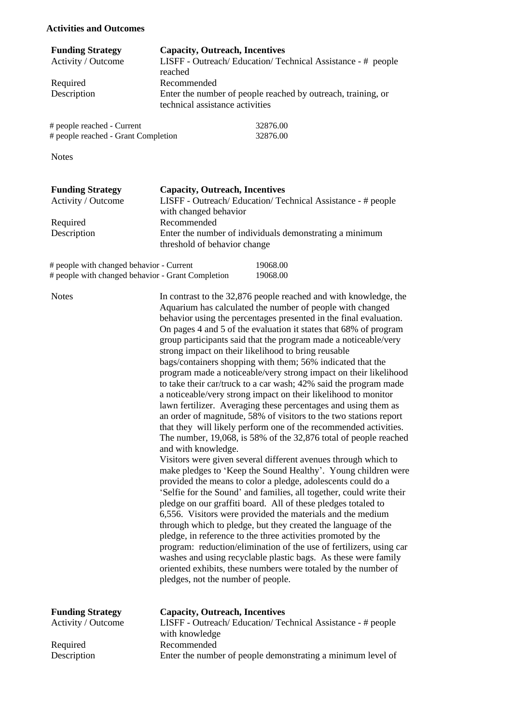#### **Activities and Outcomes**

| <b>Funding Strategy</b> | <b>Capacity, Outreach, Incentives</b>                                                           |
|-------------------------|-------------------------------------------------------------------------------------------------|
| Activity / Outcome      | LISFF - Outreach/Education/Technical Assistance - # people                                      |
|                         | reached                                                                                         |
| Required                | Recommended                                                                                     |
| Description             | Enter the number of people reached by outreach, training, or<br>technical assistance activities |
|                         |                                                                                                 |

| # people reached - Current          | 32876.00 |
|-------------------------------------|----------|
| # people reached - Grant Completion | 32876.00 |

Notes

| <b>Funding Strategy</b> | <b>Capacity, Outreach, Incentives</b>                                                   |
|-------------------------|-----------------------------------------------------------------------------------------|
| Activity / Outcome      | LISFF - Outreach/Education/Technical Assistance - # people                              |
|                         | with changed behavior                                                                   |
| Required                | Recommended                                                                             |
| Description             | Enter the number of individuals demonstrating a minimum<br>threshold of behavior change |
|                         |                                                                                         |

| # people with changed behavior - Current          | 19068.00 |
|---------------------------------------------------|----------|
| # people with changed behavior - Grant Completion | 19068.00 |

| <b>Notes</b>                                  | In contrast to the 32,876 people reached and with knowledge, the<br>Aquarium has calculated the number of people with changed<br>behavior using the percentages presented in the final evaluation.<br>On pages 4 and 5 of the evaluation it states that 68% of program<br>group participants said that the program made a noticeable/very<br>strong impact on their likelihood to bring reusable<br>bags/containers shopping with them; 56% indicated that the<br>program made a noticeable/very strong impact on their likelihood<br>to take their car/truck to a car wash; 42% said the program made<br>a noticeable/very strong impact on their likelihood to monitor<br>lawn fertilizer. Averaging these percentages and using them as<br>an order of magnitude, 58% of visitors to the two stations report<br>that they will likely perform one of the recommended activities.<br>The number, $19,068$ , is 58% of the 32,876 total of people reached<br>and with knowledge.<br>Visitors were given several different avenues through which to<br>make pledges to 'Keep the Sound Healthy'. Young children were<br>provided the means to color a pledge, adolescents could do a<br>'Selfie for the Sound' and families, all together, could write their<br>pledge on our graffiti board. All of these pledges totaled to<br>6,556. Visitors were provided the materials and the medium<br>through which to pledge, but they created the language of the<br>pledge, in reference to the three activities promoted by the<br>program: reduction/elimination of the use of fertilizers, using car<br>washes and using recyclable plastic bags. As these were family<br>oriented exhibits, these numbers were totaled by the number of<br>pledges, not the number of people. |
|-----------------------------------------------|-------------------------------------------------------------------------------------------------------------------------------------------------------------------------------------------------------------------------------------------------------------------------------------------------------------------------------------------------------------------------------------------------------------------------------------------------------------------------------------------------------------------------------------------------------------------------------------------------------------------------------------------------------------------------------------------------------------------------------------------------------------------------------------------------------------------------------------------------------------------------------------------------------------------------------------------------------------------------------------------------------------------------------------------------------------------------------------------------------------------------------------------------------------------------------------------------------------------------------------------------------------------------------------------------------------------------------------------------------------------------------------------------------------------------------------------------------------------------------------------------------------------------------------------------------------------------------------------------------------------------------------------------------------------------------------------------------------------------------------------------------------------------------|
| <b>Funding Strategy</b><br>Activity / Outcome | <b>Capacity, Outreach, Incentives</b><br>LISFF - Outreach/Education/Technical Assistance - # people<br>with knowledge                                                                                                                                                                                                                                                                                                                                                                                                                                                                                                                                                                                                                                                                                                                                                                                                                                                                                                                                                                                                                                                                                                                                                                                                                                                                                                                                                                                                                                                                                                                                                                                                                                                         |

Enter the number of people demonstrating a minimum level of

Required Recommended<br>Description Enter the numb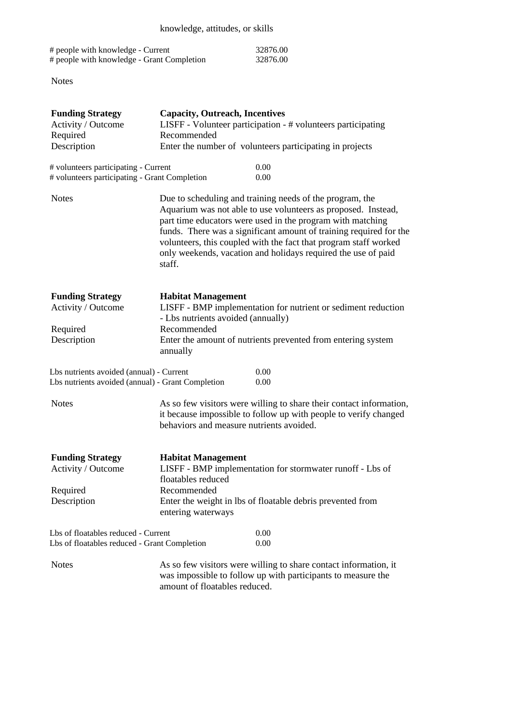| # people with knowledge - Current          | 32876.00 |
|--------------------------------------------|----------|
| # people with knowledge - Grant Completion | 32876.00 |

Notes

| <b>Funding Strategy</b>                                                                       | <b>Capacity, Outreach, Incentives</b>                                                                                                                                                                                                                                                                                                                                                                        |  |  |  |
|-----------------------------------------------------------------------------------------------|--------------------------------------------------------------------------------------------------------------------------------------------------------------------------------------------------------------------------------------------------------------------------------------------------------------------------------------------------------------------------------------------------------------|--|--|--|
| Activity / Outcome                                                                            | LISFF - Volunteer participation - # volunteers participating                                                                                                                                                                                                                                                                                                                                                 |  |  |  |
| Required                                                                                      | Recommended                                                                                                                                                                                                                                                                                                                                                                                                  |  |  |  |
| Description                                                                                   | Enter the number of volunteers participating in projects                                                                                                                                                                                                                                                                                                                                                     |  |  |  |
| # volunteers participating - Current                                                          | 0.00                                                                                                                                                                                                                                                                                                                                                                                                         |  |  |  |
| # volunteers participating - Grant Completion                                                 | 0.00                                                                                                                                                                                                                                                                                                                                                                                                         |  |  |  |
| <b>Notes</b>                                                                                  | Due to scheduling and training needs of the program, the<br>Aquarium was not able to use volunteers as proposed. Instead,<br>part time educators were used in the program with matching<br>funds. There was a significant amount of training required for the<br>volunteers, this coupled with the fact that program staff worked<br>only weekends, vacation and holidays required the use of paid<br>staff. |  |  |  |
| <b>Funding Strategy</b><br>Activity / Outcome                                                 | <b>Habitat Management</b><br>LISFF - BMP implementation for nutrient or sediment reduction<br>- Lbs nutrients avoided (annually)                                                                                                                                                                                                                                                                             |  |  |  |
| Recommended<br>Required                                                                       |                                                                                                                                                                                                                                                                                                                                                                                                              |  |  |  |
| Description                                                                                   | Enter the amount of nutrients prevented from entering system<br>annually                                                                                                                                                                                                                                                                                                                                     |  |  |  |
| Lbs nutrients avoided (annual) - Current<br>Lbs nutrients avoided (annual) - Grant Completion | 0.00<br>0.00                                                                                                                                                                                                                                                                                                                                                                                                 |  |  |  |
| <b>Notes</b>                                                                                  | As so few visitors were willing to share their contact information,<br>it because impossible to follow up with people to verify changed<br>behaviors and measure nutrients avoided.                                                                                                                                                                                                                          |  |  |  |
| <b>Funding Strategy</b><br>Activity / Outcome                                                 | <b>Habitat Management</b><br>LISFF - BMP implementation for stormwater runoff - Lbs of<br>floatables reduced                                                                                                                                                                                                                                                                                                 |  |  |  |
| Required                                                                                      | Recommended                                                                                                                                                                                                                                                                                                                                                                                                  |  |  |  |
| Description                                                                                   | Enter the weight in lbs of floatable debris prevented from<br>entering waterways                                                                                                                                                                                                                                                                                                                             |  |  |  |
| Lbs of floatables reduced - Current<br>Lbs of floatables reduced - Grant Completion           | 0.00<br>0.00                                                                                                                                                                                                                                                                                                                                                                                                 |  |  |  |
| <b>Notes</b>                                                                                  | As so few visitors were willing to share contact information, it<br>was impossible to follow up with participants to measure the<br>amount of floatables reduced.                                                                                                                                                                                                                                            |  |  |  |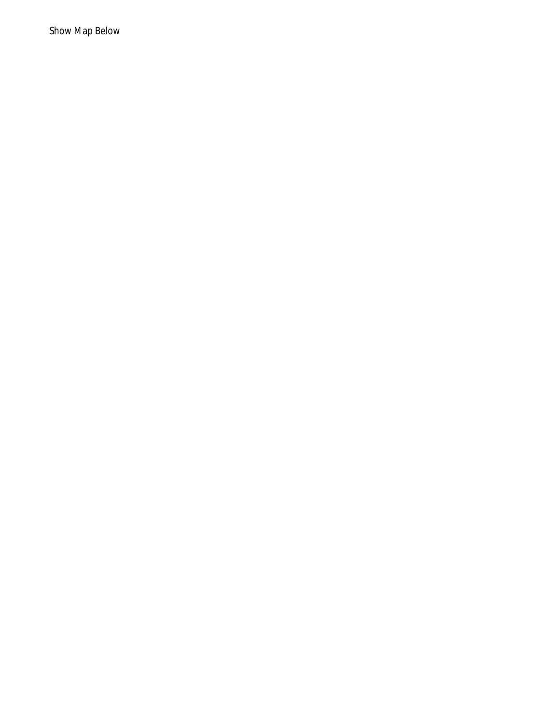Show Map Below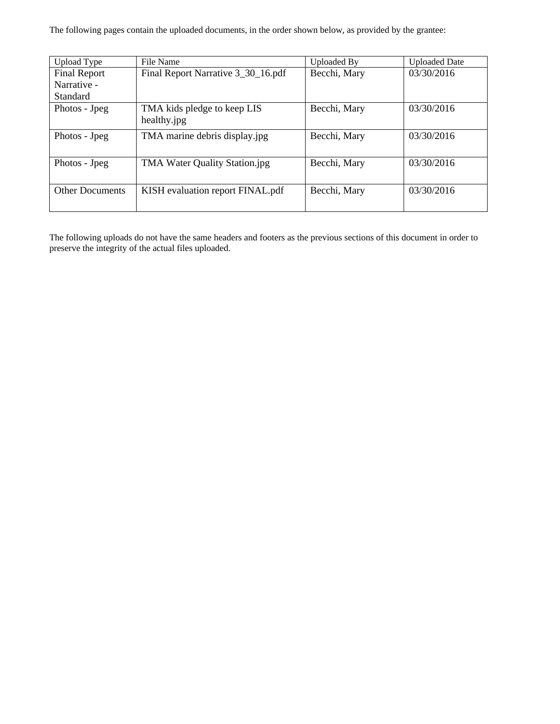The following pages contain the uploaded documents, in the order shown below, as provided by the grantee:

| Upload Type            | File Name                          | Uploaded By  | <b>Uploaded Date</b> |
|------------------------|------------------------------------|--------------|----------------------|
| <b>Final Report</b>    | Final Report Narrative 3_30_16.pdf | Becchi, Mary | 03/30/2016           |
| Narrative -            |                                    |              |                      |
| Standard               |                                    |              |                      |
| Photos - Jpeg          | TMA kids pledge to keep LIS        | Becchi, Mary | 03/30/2016           |
|                        | healthy.jpg                        |              |                      |
| Photos - Jpeg          | TMA marine debris display.jpg      | Becchi, Mary | 03/30/2016           |
|                        |                                    |              |                      |
| Photos - Jpeg          | TMA Water Quality Station.jpg      | Becchi, Mary | 03/30/2016           |
|                        |                                    |              |                      |
| <b>Other Documents</b> | KISH evaluation report FINAL.pdf   | Becchi, Mary | 03/30/2016           |
|                        |                                    |              |                      |

The following uploads do not have the same headers and footers as the previous sections of this document in order to preserve the integrity of the actual files uploaded.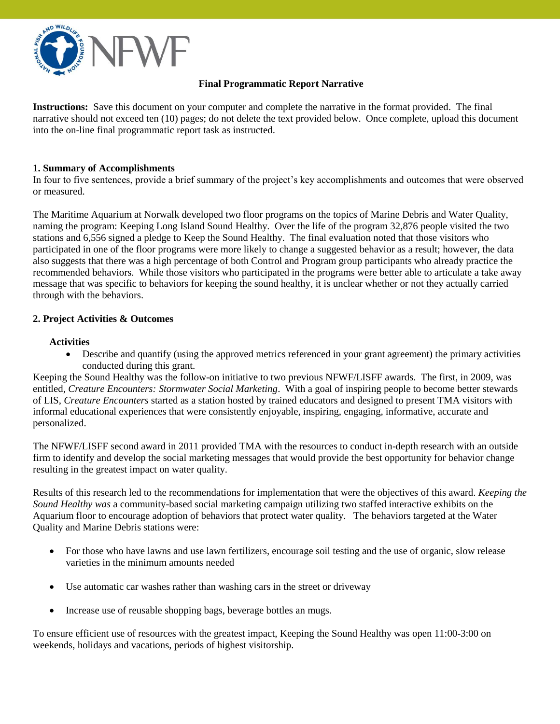

## **Final Programmatic Report Narrative**

**Instructions:** Save this document on your computer and complete the narrative in the format provided. The final narrative should not exceed ten (10) pages; do not delete the text provided below. Once complete, upload this document into the on-line final programmatic report task as instructed.

#### **1. Summary of Accomplishments**

In four to five sentences, provide a brief summary of the project's key accomplishments and outcomes that were observed or measured.

The Maritime Aquarium at Norwalk developed two floor programs on the topics of Marine Debris and Water Quality, naming the program: Keeping Long Island Sound Healthy. Over the life of the program 32,876 people visited the two stations and 6,556 signed a pledge to Keep the Sound Healthy. The final evaluation noted that those visitors who participated in one of the floor programs were more likely to change a suggested behavior as a result; however, the data also suggests that there was a high percentage of both Control and Program group participants who already practice the recommended behaviors. While those visitors who participated in the programs were better able to articulate a take away message that was specific to behaviors for keeping the sound healthy, it is unclear whether or not they actually carried through with the behaviors.

### **2. Project Activities & Outcomes**

#### **Activities**

 Describe and quantify (using the approved metrics referenced in your grant agreement) the primary activities conducted during this grant.

Keeping the Sound Healthy was the follow-on initiative to two previous NFWF/LISFF awards. The first, in 2009, was entitled, *Creature Encounters: Stormwater Social Marketing*. With a goal of inspiring people to become better stewards of LIS, *Creature Encounters* started as a station hosted by trained educators and designed to present TMA visitors with informal educational experiences that were consistently enjoyable, inspiring, engaging, informative, accurate and personalized.

The NFWF/LISFF second award in 2011 provided TMA with the resources to conduct in-depth research with an outside firm to identify and develop the social marketing messages that would provide the best opportunity for behavior change resulting in the greatest impact on water quality.

Results of this research led to the recommendations for implementation that were the objectives of this award. *Keeping the Sound Healthy was* a community-based social marketing campaign utilizing two staffed interactive exhibits on the Aquarium floor to encourage adoption of behaviors that protect water quality. The behaviors targeted at the Water Quality and Marine Debris stations were:

- For those who have lawns and use lawn fertilizers, encourage soil testing and the use of organic, slow release varieties in the minimum amounts needed
- Use automatic car washes rather than washing cars in the street or driveway
- Increase use of reusable shopping bags, beverage bottles an mugs.

To ensure efficient use of resources with the greatest impact, Keeping the Sound Healthy was open 11:00-3:00 on weekends, holidays and vacations, periods of highest visitorship.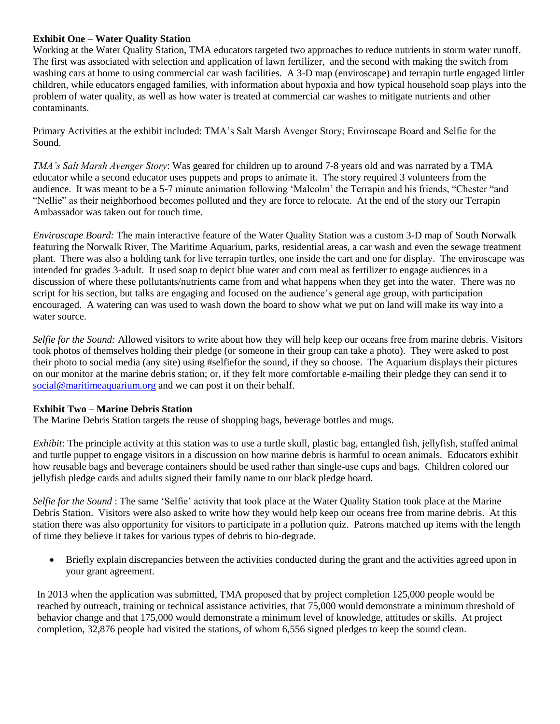### **Exhibit One – Water Quality Station**

Working at the Water Quality Station, TMA educators targeted two approaches to reduce nutrients in storm water runoff. The first was associated with selection and application of lawn fertilizer, and the second with making the switch from washing cars at home to using commercial car wash facilities. A 3-D map (enviroscape) and terrapin turtle engaged littler children, while educators engaged families, with information about hypoxia and how typical household soap plays into the problem of water quality, as well as how water is treated at commercial car washes to mitigate nutrients and other contaminants.

Primary Activities at the exhibit included: TMA's Salt Marsh Avenger Story; Enviroscape Board and Selfie for the Sound.

*TMA's Salt Marsh Avenger Story*: Was geared for children up to around 7-8 years old and was narrated by a TMA educator while a second educator uses puppets and props to animate it. The story required 3 volunteers from the audience. It was meant to be a 5-7 minute animation following 'Malcolm' the Terrapin and his friends, "Chester "and "Nellie" as their neighborhood becomes polluted and they are force to relocate. At the end of the story our Terrapin Ambassador was taken out for touch time.

*Enviroscape Board:* The main interactive feature of the Water Quality Station was a custom 3-D map of South Norwalk featuring the Norwalk River, The Maritime Aquarium, parks, residential areas, a car wash and even the sewage treatment plant. There was also a holding tank for live terrapin turtles, one inside the cart and one for display. The enviroscape was intended for grades 3-adult. It used soap to depict blue water and corn meal as fertilizer to engage audiences in a discussion of where these pollutants/nutrients came from and what happens when they get into the water. There was no script for his section, but talks are engaging and focused on the audience's general age group, with participation encouraged. A watering can was used to wash down the board to show what we put on land will make its way into a water source.

*Selfie for the Sound:* Allowed visitors to write about how they will help keep our oceans free from marine debris. Visitors took photos of themselves holding their pledge (or someone in their group can take a photo). They were asked to post their photo to social media (any site) using #selfiefor the sound, if they so choose. The Aquarium displays their pictures on our monitor at the marine debris station; or, if they felt more comfortable e-mailing their pledge they can send it to [social@maritimeaquarium.org](mailto:social@maritimeaquarium.org) and we can post it on their behalf.

#### **Exhibit Two – Marine Debris Station**

The Marine Debris Station targets the reuse of shopping bags, beverage bottles and mugs.

*Exhibit*: The principle activity at this station was to use a turtle skull, plastic bag, entangled fish, jellyfish, stuffed animal and turtle puppet to engage visitors in a discussion on how marine debris is harmful to ocean animals. Educators exhibit how reusable bags and beverage containers should be used rather than single-use cups and bags. Children colored our jellyfish pledge cards and adults signed their family name to our black pledge board.

*Selfie for the Sound* : The same 'Selfie' activity that took place at the Water Quality Station took place at the Marine Debris Station. Visitors were also asked to write how they would help keep our oceans free from marine debris. At this station there was also opportunity for visitors to participate in a pollution quiz. Patrons matched up items with the length of time they believe it takes for various types of debris to bio-degrade.

 Briefly explain discrepancies between the activities conducted during the grant and the activities agreed upon in your grant agreement.

In 2013 when the application was submitted, TMA proposed that by project completion 125,000 people would be reached by outreach, training or technical assistance activities, that 75,000 would demonstrate a minimum threshold of behavior change and that 175,000 would demonstrate a minimum level of knowledge, attitudes or skills. At project completion, 32,876 people had visited the stations, of whom 6,556 signed pledges to keep the sound clean.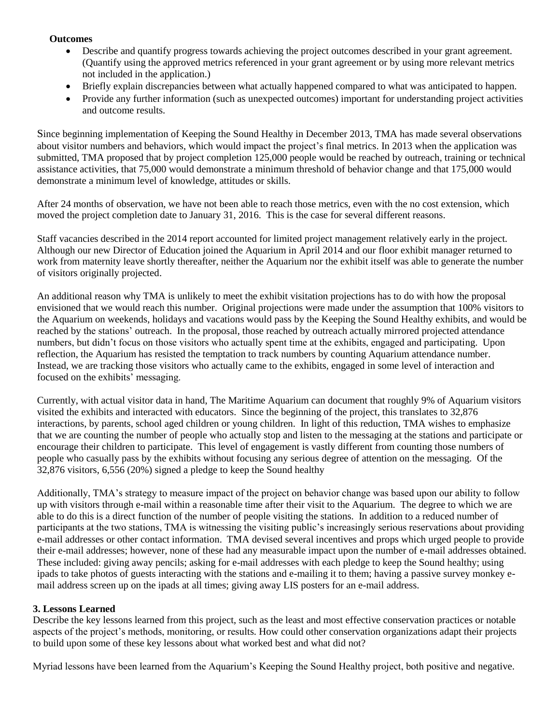#### **Outcomes**

- Describe and quantify progress towards achieving the project outcomes described in your grant agreement. (Quantify using the approved metrics referenced in your grant agreement or by using more relevant metrics not included in the application.)
- Briefly explain discrepancies between what actually happened compared to what was anticipated to happen.
- Provide any further information (such as unexpected outcomes) important for understanding project activities and outcome results.

Since beginning implementation of Keeping the Sound Healthy in December 2013, TMA has made several observations about visitor numbers and behaviors, which would impact the project's final metrics. In 2013 when the application was submitted, TMA proposed that by project completion 125,000 people would be reached by outreach, training or technical assistance activities, that 75,000 would demonstrate a minimum threshold of behavior change and that 175,000 would demonstrate a minimum level of knowledge, attitudes or skills.

After 24 months of observation, we have not been able to reach those metrics, even with the no cost extension, which moved the project completion date to January 31, 2016. This is the case for several different reasons.

Staff vacancies described in the 2014 report accounted for limited project management relatively early in the project. Although our new Director of Education joined the Aquarium in April 2014 and our floor exhibit manager returned to work from maternity leave shortly thereafter, neither the Aquarium nor the exhibit itself was able to generate the number of visitors originally projected.

An additional reason why TMA is unlikely to meet the exhibit visitation projections has to do with how the proposal envisioned that we would reach this number. Original projections were made under the assumption that 100% visitors to the Aquarium on weekends, holidays and vacations would pass by the Keeping the Sound Healthy exhibits, and would be reached by the stations' outreach. In the proposal, those reached by outreach actually mirrored projected attendance numbers, but didn't focus on those visitors who actually spent time at the exhibits, engaged and participating. Upon reflection, the Aquarium has resisted the temptation to track numbers by counting Aquarium attendance number. Instead, we are tracking those visitors who actually came to the exhibits, engaged in some level of interaction and focused on the exhibits' messaging.

Currently, with actual visitor data in hand, The Maritime Aquarium can document that roughly 9% of Aquarium visitors visited the exhibits and interacted with educators. Since the beginning of the project, this translates to 32,876 interactions, by parents, school aged children or young children. In light of this reduction, TMA wishes to emphasize that we are counting the number of people who actually stop and listen to the messaging at the stations and participate or encourage their children to participate. This level of engagement is vastly different from counting those numbers of people who casually pass by the exhibits without focusing any serious degree of attention on the messaging. Of the 32,876 visitors, 6,556 (20%) signed a pledge to keep the Sound healthy

Additionally, TMA's strategy to measure impact of the project on behavior change was based upon our ability to follow up with visitors through e-mail within a reasonable time after their visit to the Aquarium. The degree to which we are able to do this is a direct function of the number of people visiting the stations. In addition to a reduced number of participants at the two stations, TMA is witnessing the visiting public's increasingly serious reservations about providing e-mail addresses or other contact information. TMA devised several incentives and props which urged people to provide their e-mail addresses; however, none of these had any measurable impact upon the number of e-mail addresses obtained. These included: giving away pencils; asking for e-mail addresses with each pledge to keep the Sound healthy; using ipads to take photos of guests interacting with the stations and e-mailing it to them; having a passive survey monkey email address screen up on the ipads at all times; giving away LIS posters for an e-mail address.

# **3. Lessons Learned**

Describe the key lessons learned from this project, such as the least and most effective conservation practices or notable aspects of the project's methods, monitoring, or results. How could other conservation organizations adapt their projects to build upon some of these key lessons about what worked best and what did not?

Myriad lessons have been learned from the Aquarium's Keeping the Sound Healthy project, both positive and negative.